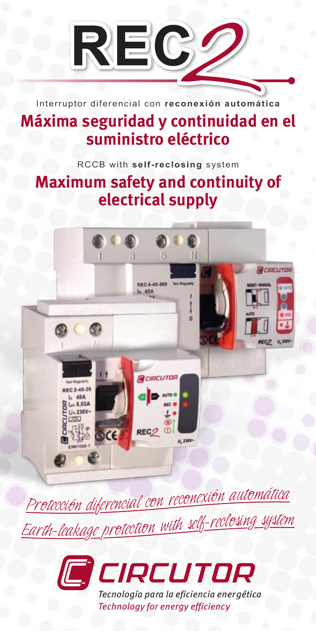

Interruptor diferencial con **reconexión automática**

## **Máxima seguridad y continuidad en el suministro eléctrico**

RCCB with **self-reclosing** system

# **Maximum safety and continuity of electrical supply**



Protección diferencial con reconexión automática <u> Earth-leakage protection with self-reclosing system</u>



*Technology for energy efficiency*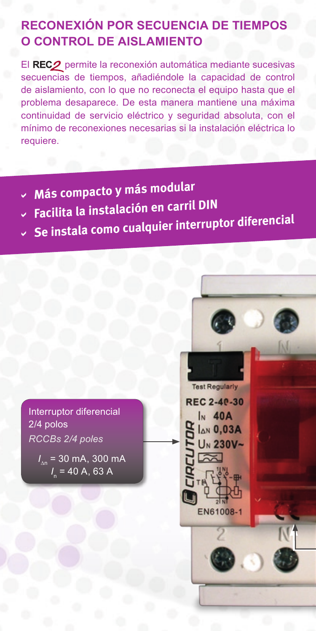### **RECONEXIÓN POR SECUENCIA DE TIEMPOS O CONTROL DE AISLAMIENTO**

El REC<sub>2</sub> permite la reconexión automática mediante sucesivas secuencias de tiempos, añadiéndole la capacidad de control de aislamiento, con lo que no reconecta el equipo hasta que el problema desaparece. De esta manera mantiene una máxima continuidad de servicio eléctrico y seguridad absoluta, con el mínimo de reconexiones necesarias si la instalación eléctrica lo requiere.

- **Más compacto y más modular** a
- **Facilita la instalación en carril DIN** a
- **Se instala como cualquier interruptor diferencial** a

Interruptor diferencial 2/4 polos *RCCBs 2/4 poles*

> *I* ∆n = 30 mA, 300 mA *I* n = 40 A, 63 A

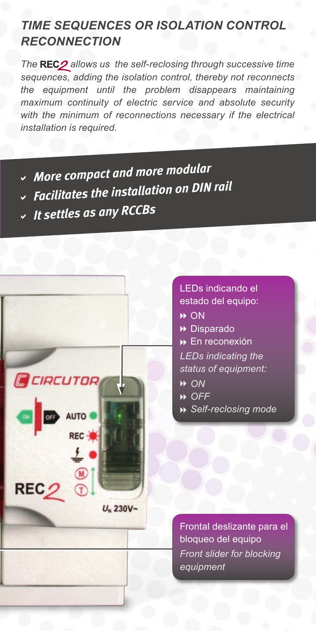#### *TIME SEQUENCES OR ISOLATION CONTROL RECONNECTION*

The REC<sub>2</sub> allows us the self-reclosing through successive time *sequences, adding the isolation control, thereby not reconnects the equipment until the problem disappears maintaining maximum continuity of electric service and absolute security with the minimum of reconnections necessary if the electrical installation is required.*

- *More compact and more modular* a
- *Facilitates the installation on DIN rail* a
- *It settles as any RCCBs* a



- LEDs indicando el estado del equipo: **→ ON ▶** Disparado En reconexión 8 *LEDs indicating the status of equipment: ON* 8  *OFF* 8
- *Self-reclosing mode* 8

Frontal deslizante para el bloqueo del equipo *Front slider for blocking equipment*